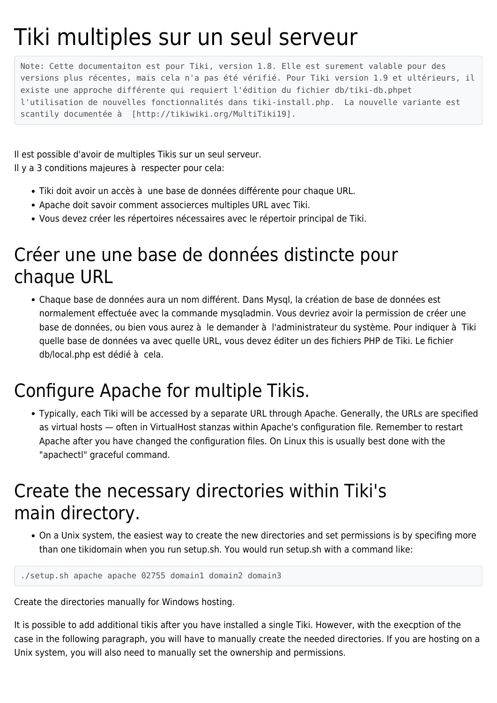## Tiki multiples sur un seul serveur

Note: Cette documentaiton est pour Tiki, version 1.8. Elle est surement valable pour des versions plus récentes, mais cela n'a pas été vérifié. Pour Tiki version 1.9 et ultérieurs, il existe une approche différente qui requiert l'édition du fichier db/tiki-db.phpet l'utilisation de nouvelles fonctionnalités dans tiki-install.php. La nouvelle variante est scantily documentée à [http://tikiwiki.org/MultiTiki19].

Il est possible d'avoir de multiples Tikis sur un seul serveur. Il y a 3 conditions majeures à respecter pour cela:

- Tiki doit avoir un accès à une base de données différente pour chaque URL.
- Apache doit savoir comment associerces multiples URL avec Tiki.
- Vous devez créer les répertoires nécessaires avec le répertoir principal de Tiki.

## Créer une une base de données distincte pour chaque URL

Chaque base de données aura un nom différent. Dans Mysql, la création de base de données est normalement effectuée avec la commande mysqladmin. Vous devriez avoir la permission de créer une base de données, ou bien vous aurez à le demander à l'administrateur du système. Pour indiquer à Tiki quelle base de données va avec quelle URL, vous devez éditer un des fichiers PHP de Tiki. Le fichier db/local.php est dédié à cela.

## Configure Apache for multiple Tikis.

Typically, each Tiki will be accessed by a separate URL through Apache. Generally, the URLs are specified as virtual hosts — often in VirtualHost stanzas within Apache's configuration file. Remember to restart Apache after you have changed the configuration files. On Linux this is usually best done with the "apachectl" graceful command.

## Create the necessary directories within Tiki's main directory.

On a Unix system, the easiest way to create the new directories and set permissions is by specifing more than one tikidomain when you run setup.sh. You would run setup.sh with a command like:

```
./setup.sh apache apache 02755 domain1 domain2 domain3
```
Create the directories manually for Windows hosting.

It is possible to add additional tikis after you have installed a single Tiki. However, with the execption of the case in the following paragraph, you will have to manually create the needed directories. If you are hosting on a Unix system, you will also need to manually set the ownership and permissions.